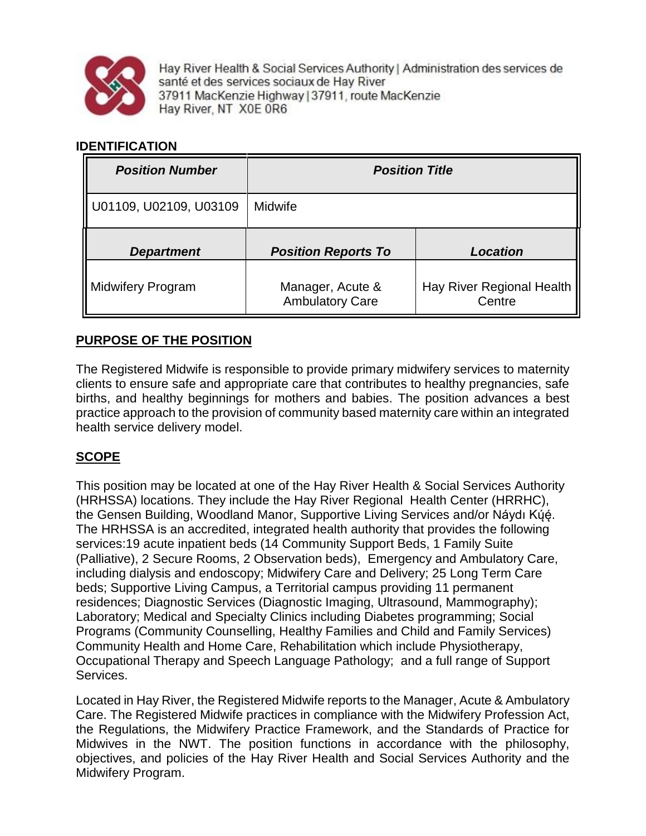

Hay River Health & Social Services Authority | Administration des services de santé et des services sociaux de Hay River 37911 MacKenzie Highway | 37911, route MacKenzie Hay River, NT X0E 0R6

## **IDENTIFICATION**

| <b>Position Number</b>   | <b>Position Title</b>                      |                                     |
|--------------------------|--------------------------------------------|-------------------------------------|
| U01109, U02109, U03109   | Midwife                                    |                                     |
| <b>Department</b>        | <b>Position Reports To</b>                 | <b>Location</b>                     |
| <b>Midwifery Program</b> | Manager, Acute &<br><b>Ambulatory Care</b> | Hay River Regional Health<br>Centre |

# **PURPOSE OF THE POSITION**

The Registered Midwife is responsible to provide primary midwifery services to maternity clients to ensure safe and appropriate care that contributes to healthy pregnancies, safe births, and healthy beginnings for mothers and babies. The position advances a best practice approach to the provision of community based maternity care within an integrated health service delivery model.

# **SCOPE**

This position may be located at one of the Hay River Health & Social Services Authority (HRHSSA) locations. They include the Hay River Regional Health Center (HRRHC), the Gensen Building, Woodland Manor, Supportive Living Services and/or Náydı Kų́ę́. ̨́ The HRHSSA is an accredited, integrated health authority that provides the following services:19 acute inpatient beds (14 Community Support Beds, 1 Family Suite (Palliative), 2 Secure Rooms, 2 Observation beds), Emergency and Ambulatory Care, including dialysis and endoscopy; Midwifery Care and Delivery; 25 Long Term Care beds; Supportive Living Campus, a Territorial campus providing 11 permanent residences; Diagnostic Services (Diagnostic Imaging, Ultrasound, Mammography); Laboratory; Medical and Specialty Clinics including Diabetes programming; Social Programs (Community Counselling, Healthy Families and Child and Family Services) Community Health and Home Care, Rehabilitation which include Physiotherapy, Occupational Therapy and Speech Language Pathology; and a full range of Support Services.

Located in Hay River, the Registered Midwife reports to the Manager, Acute & Ambulatory Care. The Registered Midwife practices in compliance with the Midwifery Profession Act, the Regulations, the Midwifery Practice Framework, and the Standards of Practice for Midwives in the NWT. The position functions in accordance with the philosophy, objectives, and policies of the Hay River Health and Social Services Authority and the Midwifery Program.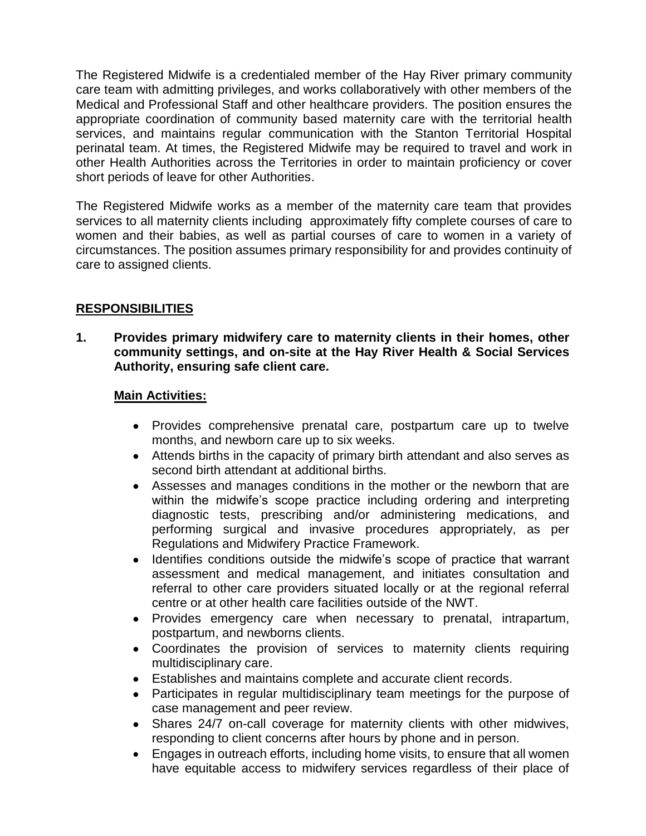The Registered Midwife is a credentialed member of the Hay River primary community care team with admitting privileges, and works collaboratively with other members of the Medical and Professional Staff and other healthcare providers. The position ensures the appropriate coordination of community based maternity care with the territorial health services, and maintains regular communication with the Stanton Territorial Hospital perinatal team. At times, the Registered Midwife may be required to travel and work in other Health Authorities across the Territories in order to maintain proficiency or cover short periods of leave for other Authorities.

The Registered Midwife works as a member of the maternity care team that provides services to all maternity clients including approximately fifty complete courses of care to women and their babies, as well as partial courses of care to women in a variety of circumstances. The position assumes primary responsibility for and provides continuity of care to assigned clients.

# **RESPONSIBILITIES**

**1. Provides primary midwifery care to maternity clients in their homes, other community settings, and on-site at the Hay River Health & Social Services Authority, ensuring safe client care.** 

### **Main Activities:**

- Provides comprehensive prenatal care, postpartum care up to twelve months, and newborn care up to six weeks.
- Attends births in the capacity of primary birth attendant and also serves as second birth attendant at additional births.
- Assesses and manages conditions in the mother or the newborn that are within the midwife's scope practice including ordering and interpreting diagnostic tests, prescribing and/or administering medications, and performing surgical and invasive procedures appropriately, as per Regulations and Midwifery Practice Framework.
- Identifies conditions outside the midwife's scope of practice that warrant assessment and medical management, and initiates consultation and referral to other care providers situated locally or at the regional referral centre or at other health care facilities outside of the NWT.
- Provides emergency care when necessary to prenatal, intrapartum, postpartum, and newborns clients.
- Coordinates the provision of services to maternity clients requiring multidisciplinary care.
- Establishes and maintains complete and accurate client records.
- Participates in regular multidisciplinary team meetings for the purpose of case management and peer review.
- Shares 24/7 on-call coverage for maternity clients with other midwives, responding to client concerns after hours by phone and in person.
- Engages in outreach efforts, including home visits, to ensure that all women have equitable access to midwifery services regardless of their place of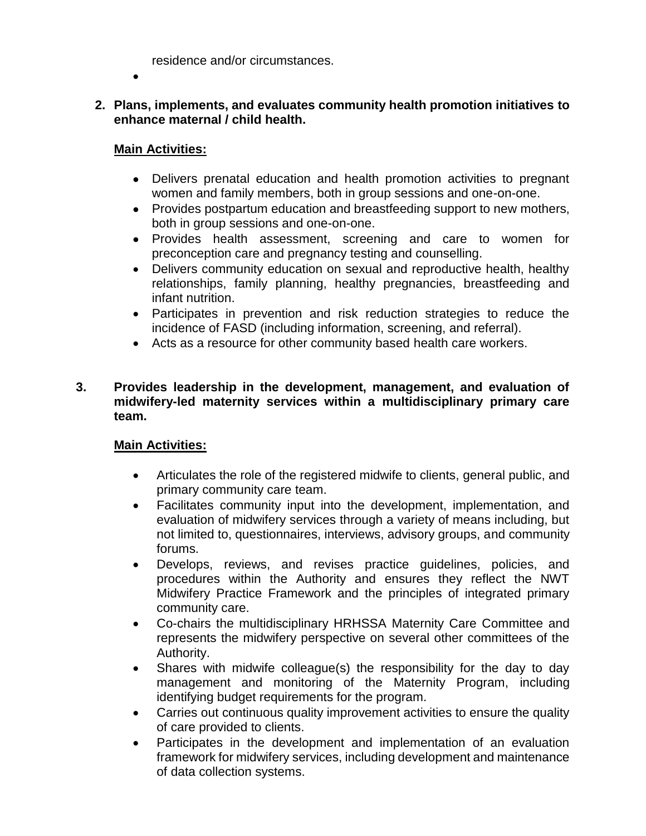residence and/or circumstances.

- $\bullet$
- **2. Plans, implements, and evaluates community health promotion initiatives to enhance maternal / child health.**

## **Main Activities:**

- Delivers prenatal education and health promotion activities to pregnant women and family members, both in group sessions and one-on-one.
- Provides postpartum education and breastfeeding support to new mothers, both in group sessions and one-on-one.
- Provides health assessment, screening and care to women for preconception care and pregnancy testing and counselling.
- Delivers community education on sexual and reproductive health, healthy relationships, family planning, healthy pregnancies, breastfeeding and infant nutrition.
- Participates in prevention and risk reduction strategies to reduce the incidence of FASD (including information, screening, and referral).
- Acts as a resource for other community based health care workers.

### **3. Provides leadership in the development, management, and evaluation of midwifery-led maternity services within a multidisciplinary primary care team.**

### **Main Activities:**

- Articulates the role of the registered midwife to clients, general public, and primary community care team.
- Facilitates community input into the development, implementation, and evaluation of midwifery services through a variety of means including, but not limited to, questionnaires, interviews, advisory groups, and community forums.
- Develops, reviews, and revises practice guidelines, policies, and procedures within the Authority and ensures they reflect the NWT Midwifery Practice Framework and the principles of integrated primary community care.
- Co-chairs the multidisciplinary HRHSSA Maternity Care Committee and represents the midwifery perspective on several other committees of the Authority.
- Shares with midwife colleague(s) the responsibility for the day to day management and monitoring of the Maternity Program, including identifying budget requirements for the program.
- Carries out continuous quality improvement activities to ensure the quality of care provided to clients.
- Participates in the development and implementation of an evaluation framework for midwifery services, including development and maintenance of data collection systems.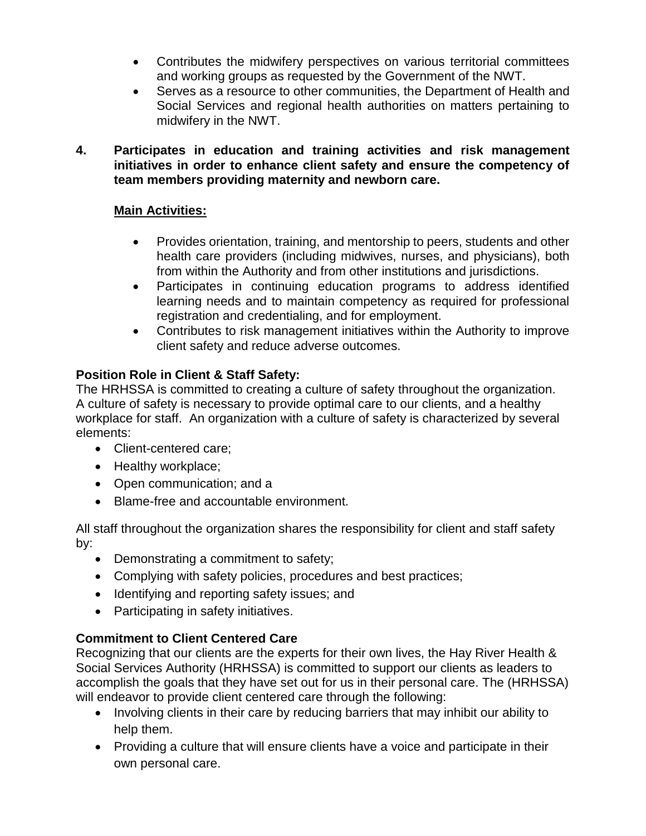- Contributes the midwifery perspectives on various territorial committees and working groups as requested by the Government of the NWT.
- Serves as a resource to other communities, the Department of Health and Social Services and regional health authorities on matters pertaining to midwifery in the NWT.
- **4. Participates in education and training activities and risk management initiatives in order to enhance client safety and ensure the competency of team members providing maternity and newborn care.**

# **Main Activities:**

- Provides orientation, training, and mentorship to peers, students and other health care providers (including midwives, nurses, and physicians), both from within the Authority and from other institutions and jurisdictions.
- Participates in continuing education programs to address identified learning needs and to maintain competency as required for professional registration and credentialing, and for employment.
- Contributes to risk management initiatives within the Authority to improve client safety and reduce adverse outcomes.

# **Position Role in Client & Staff Safety:**

The HRHSSA is committed to creating a culture of safety throughout the organization. A culture of safety is necessary to provide optimal care to our clients, and a healthy workplace for staff. An organization with a culture of safety is characterized by several elements:

- Client-centered care;
- Healthy workplace;
- Open communication; and a
- Blame-free and accountable environment.

All staff throughout the organization shares the responsibility for client and staff safety by:

- Demonstrating a commitment to safety;
- Complying with safety policies, procedures and best practices;
- Identifying and reporting safety issues; and
- Participating in safety initiatives.

# **Commitment to Client Centered Care**

Recognizing that our clients are the experts for their own lives, the Hay River Health & Social Services Authority (HRHSSA) is committed to support our clients as leaders to accomplish the goals that they have set out for us in their personal care. The (HRHSSA) will endeavor to provide client centered care through the following:

- Involving clients in their care by reducing barriers that may inhibit our ability to help them.
- Providing a culture that will ensure clients have a voice and participate in their own personal care.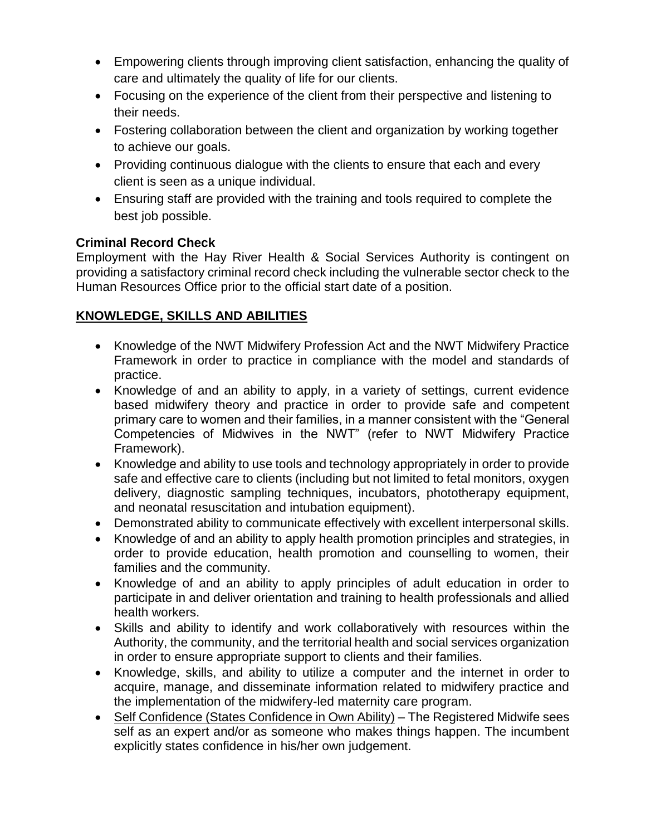- Empowering clients through improving client satisfaction, enhancing the quality of care and ultimately the quality of life for our clients.
- Focusing on the experience of the client from their perspective and listening to their needs.
- Fostering collaboration between the client and organization by working together to achieve our goals.
- Providing continuous dialogue with the clients to ensure that each and every client is seen as a unique individual.
- Ensuring staff are provided with the training and tools required to complete the best job possible.

# **Criminal Record Check**

Employment with the Hay River Health & Social Services Authority is contingent on providing a satisfactory criminal record check including the vulnerable sector check to the Human Resources Office prior to the official start date of a position.

# **KNOWLEDGE, SKILLS AND ABILITIES**

- Knowledge of the NWT Midwifery Profession Act and the NWT Midwifery Practice Framework in order to practice in compliance with the model and standards of practice.
- Knowledge of and an ability to apply, in a variety of settings, current evidence based midwifery theory and practice in order to provide safe and competent primary care to women and their families, in a manner consistent with the "General Competencies of Midwives in the NWT" (refer to NWT Midwifery Practice Framework).
- Knowledge and ability to use tools and technology appropriately in order to provide safe and effective care to clients (including but not limited to fetal monitors, oxygen delivery, diagnostic sampling techniques, incubators, phototherapy equipment, and neonatal resuscitation and intubation equipment).
- Demonstrated ability to communicate effectively with excellent interpersonal skills.
- Knowledge of and an ability to apply health promotion principles and strategies, in order to provide education, health promotion and counselling to women, their families and the community.
- Knowledge of and an ability to apply principles of adult education in order to participate in and deliver orientation and training to health professionals and allied health workers.
- Skills and ability to identify and work collaboratively with resources within the Authority, the community, and the territorial health and social services organization in order to ensure appropriate support to clients and their families.
- Knowledge, skills, and ability to utilize a computer and the internet in order to acquire, manage, and disseminate information related to midwifery practice and the implementation of the midwifery-led maternity care program.
- Self Confidence (States Confidence in Own Ability) The Registered Midwife sees self as an expert and/or as someone who makes things happen. The incumbent explicitly states confidence in his/her own judgement.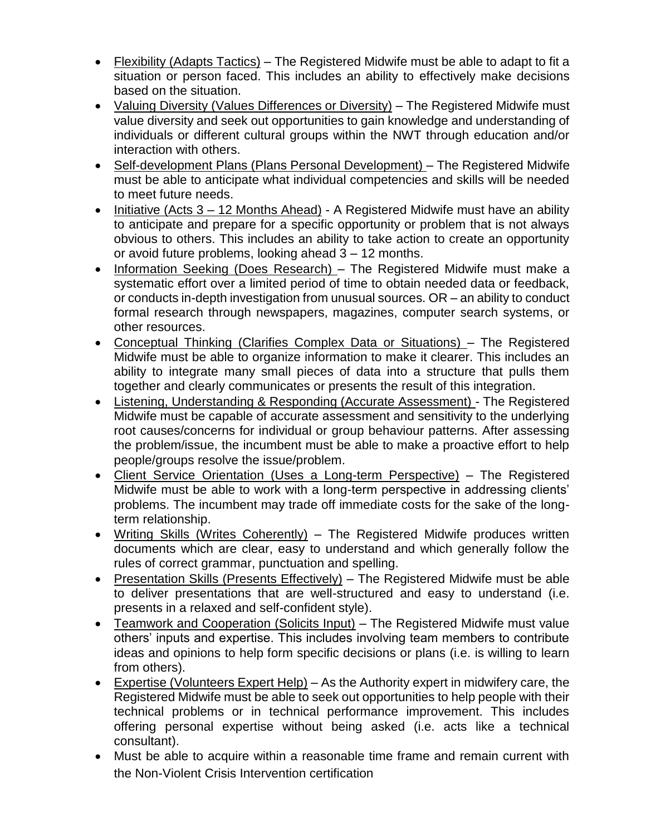- Flexibility (Adapts Tactics) The Registered Midwife must be able to adapt to fit a situation or person faced. This includes an ability to effectively make decisions based on the situation.
- Valuing Diversity (Values Differences or Diversity) The Registered Midwife must value diversity and seek out opportunities to gain knowledge and understanding of individuals or different cultural groups within the NWT through education and/or interaction with others.
- Self-development Plans (Plans Personal Development) The Registered Midwife must be able to anticipate what individual competencies and skills will be needed to meet future needs.
- Initiative (Acts 3 12 Months Ahead) A Registered Midwife must have an ability to anticipate and prepare for a specific opportunity or problem that is not always obvious to others. This includes an ability to take action to create an opportunity or avoid future problems, looking ahead 3 – 12 months.
- Information Seeking (Does Research) The Registered Midwife must make a systematic effort over a limited period of time to obtain needed data or feedback, or conducts in-depth investigation from unusual sources. OR – an ability to conduct formal research through newspapers, magazines, computer search systems, or other resources.
- Conceptual Thinking (Clarifies Complex Data or Situations) The Registered Midwife must be able to organize information to make it clearer. This includes an ability to integrate many small pieces of data into a structure that pulls them together and clearly communicates or presents the result of this integration.
- Listening, Understanding & Responding (Accurate Assessment) The Registered Midwife must be capable of accurate assessment and sensitivity to the underlying root causes/concerns for individual or group behaviour patterns. After assessing the problem/issue, the incumbent must be able to make a proactive effort to help people/groups resolve the issue/problem.
- Client Service Orientation (Uses a Long-term Perspective) The Registered Midwife must be able to work with a long-term perspective in addressing clients' problems. The incumbent may trade off immediate costs for the sake of the longterm relationship.
- Writing Skills (Writes Coherently) The Registered Midwife produces written documents which are clear, easy to understand and which generally follow the rules of correct grammar, punctuation and spelling.
- Presentation Skills (Presents Effectively) The Registered Midwife must be able to deliver presentations that are well-structured and easy to understand (i.e. presents in a relaxed and self-confident style).
- Teamwork and Cooperation (Solicits Input) The Registered Midwife must value others' inputs and expertise. This includes involving team members to contribute ideas and opinions to help form specific decisions or plans (i.e. is willing to learn from others).
- Expertise (Volunteers Expert Help) As the Authority expert in midwifery care, the Registered Midwife must be able to seek out opportunities to help people with their technical problems or in technical performance improvement. This includes offering personal expertise without being asked (i.e. acts like a technical consultant).
- Must be able to acquire within a reasonable time frame and remain current with the Non-Violent Crisis Intervention certification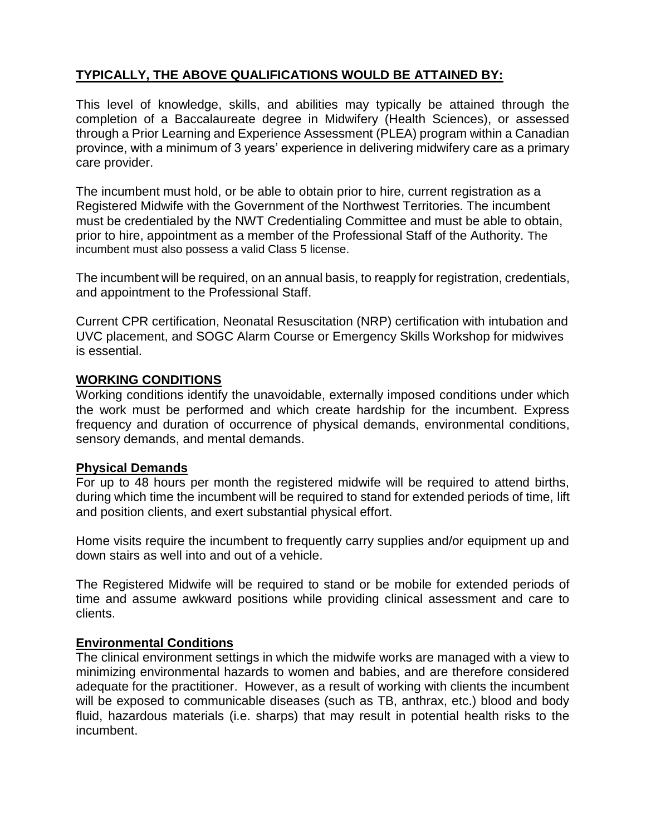# **TYPICALLY, THE ABOVE QUALIFICATIONS WOULD BE ATTAINED BY:**

This level of knowledge, skills, and abilities may typically be attained through the completion of a Baccalaureate degree in Midwifery (Health Sciences), or assessed through a Prior Learning and Experience Assessment (PLEA) program within a Canadian province, with a minimum of 3 years' experience in delivering midwifery care as a primary care provider.

The incumbent must hold, or be able to obtain prior to hire, current registration as a Registered Midwife with the Government of the Northwest Territories. The incumbent must be credentialed by the NWT Credentialing Committee and must be able to obtain, prior to hire, appointment as a member of the Professional Staff of the Authority. The incumbent must also possess a valid Class 5 license.

The incumbent will be required, on an annual basis, to reapply for registration, credentials, and appointment to the Professional Staff.

Current CPR certification, Neonatal Resuscitation (NRP) certification with intubation and UVC placement, and SOGC Alarm Course or Emergency Skills Workshop for midwives is essential.

### **WORKING CONDITIONS**

Working conditions identify the unavoidable, externally imposed conditions under which the work must be performed and which create hardship for the incumbent. Express frequency and duration of occurrence of physical demands, environmental conditions, sensory demands, and mental demands.

#### **Physical Demands**

For up to 48 hours per month the registered midwife will be required to attend births, during which time the incumbent will be required to stand for extended periods of time, lift and position clients, and exert substantial physical effort.

Home visits require the incumbent to frequently carry supplies and/or equipment up and down stairs as well into and out of a vehicle.

The Registered Midwife will be required to stand or be mobile for extended periods of time and assume awkward positions while providing clinical assessment and care to clients.

#### **Environmental Conditions**

The clinical environment settings in which the midwife works are managed with a view to minimizing environmental hazards to women and babies, and are therefore considered adequate for the practitioner. However, as a result of working with clients the incumbent will be exposed to communicable diseases (such as TB, anthrax, etc.) blood and body fluid, hazardous materials (i.e. sharps) that may result in potential health risks to the incumbent.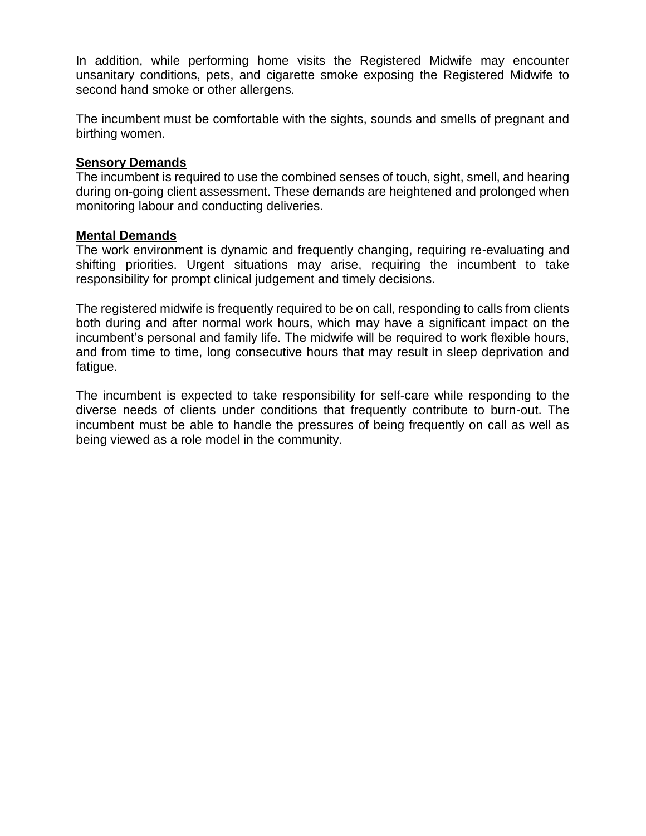In addition, while performing home visits the Registered Midwife may encounter unsanitary conditions, pets, and cigarette smoke exposing the Registered Midwife to second hand smoke or other allergens.

The incumbent must be comfortable with the sights, sounds and smells of pregnant and birthing women.

#### **Sensory Demands**

The incumbent is required to use the combined senses of touch, sight, smell, and hearing during on-going client assessment. These demands are heightened and prolonged when monitoring labour and conducting deliveries.

#### **Mental Demands**

The work environment is dynamic and frequently changing, requiring re-evaluating and shifting priorities. Urgent situations may arise, requiring the incumbent to take responsibility for prompt clinical judgement and timely decisions.

The registered midwife is frequently required to be on call, responding to calls from clients both during and after normal work hours, which may have a significant impact on the incumbent's personal and family life. The midwife will be required to work flexible hours, and from time to time, long consecutive hours that may result in sleep deprivation and fatigue.

The incumbent is expected to take responsibility for self-care while responding to the diverse needs of clients under conditions that frequently contribute to burn-out. The incumbent must be able to handle the pressures of being frequently on call as well as being viewed as a role model in the community.